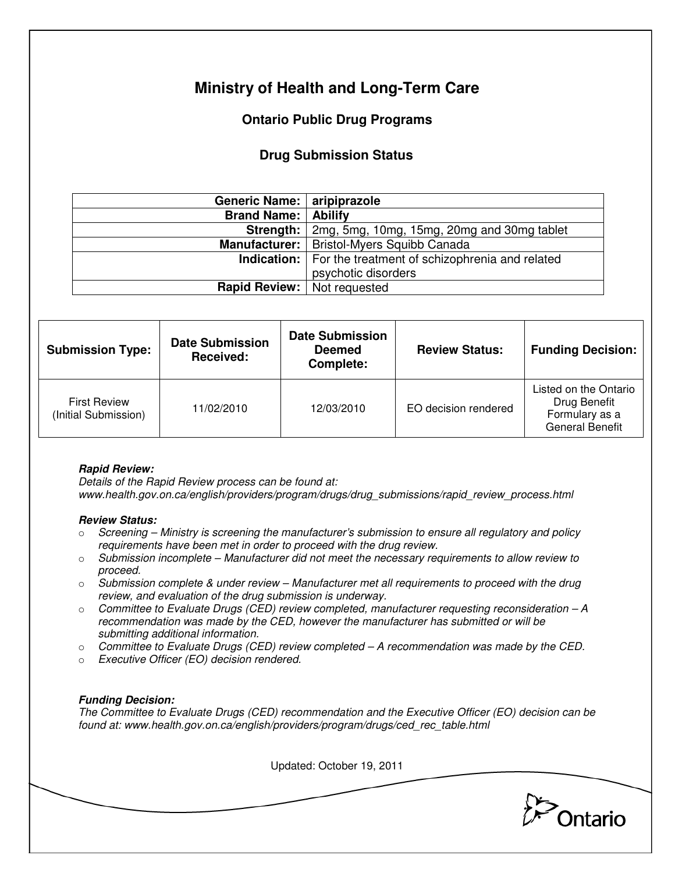# **Ministry of Health and Long-Term Care**

## **Ontario Public Drug Programs**

### **Drug Submission Status**

| Generic Name:   aripiprazole       |                                                                                            |  |  |
|------------------------------------|--------------------------------------------------------------------------------------------|--|--|
| <b>Brand Name:   Abilify</b>       |                                                                                            |  |  |
|                                    | <b>Strength:</b> 2mg, 5mg, 10mg, 15mg, 20mg and 30mg tablet                                |  |  |
| Manufacturer:                      | <b>Bristol-Myers Squibb Canada</b>                                                         |  |  |
|                                    | <b>Indication:</b>   For the treatment of schizophrenia and related<br>psychotic disorders |  |  |
| <b>Rapid Review:</b> Not requested |                                                                                            |  |  |

| <b>Submission Type:</b>                     | <b>Date Submission</b><br>Received: | <b>Date Submission</b><br><b>Deemed</b><br>Complete: | <b>Review Status:</b> | <b>Funding Decision:</b>                                                          |
|---------------------------------------------|-------------------------------------|------------------------------------------------------|-----------------------|-----------------------------------------------------------------------------------|
| <b>First Review</b><br>(Initial Submission) | 11/02/2010                          | 12/03/2010                                           | EO decision rendered  | Listed on the Ontario<br>Drug Benefit<br>Formulary as a<br><b>General Benefit</b> |

#### **Rapid Review:**

Details of the Rapid Review process can be found at: www.health.gov.on.ca/english/providers/program/drugs/drug\_submissions/rapid\_review\_process.html

#### **Review Status:**

- $\circ$  Screening Ministry is screening the manufacturer's submission to ensure all regulatory and policy requirements have been met in order to proceed with the drug review.
- $\circ$  Submission incomplete Manufacturer did not meet the necessary requirements to allow review to proceed.
- $\circ$  Submission complete & under review Manufacturer met all requirements to proceed with the drug review, and evaluation of the drug submission is underway.
- $\circ$  Committee to Evaluate Drugs (CED) review completed, manufacturer requesting reconsideration A recommendation was made by the CED, however the manufacturer has submitted or will be submitting additional information.
- $\circ$  Committee to Evaluate Drugs (CED) review completed  $-A$  recommendation was made by the CED.
- o Executive Officer (EO) decision rendered.

### **Funding Decision:**

The Committee to Evaluate Drugs (CED) recommendation and the Executive Officer (EO) decision can be found at: www.health.gov.on.ca/english/providers/program/drugs/ced\_rec\_table.html

Updated: October 19, 2011